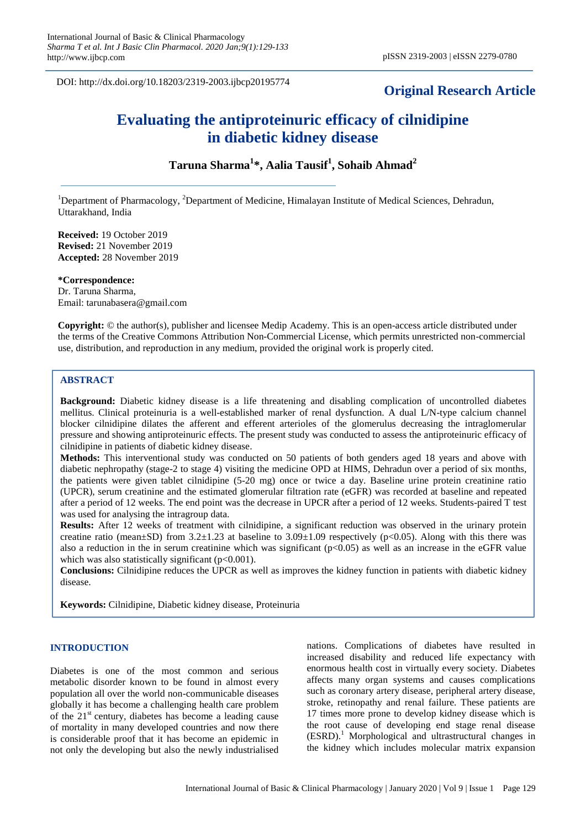DOI: http://dx.doi.org/10.18203/2319-2003.ijbcp20195774

# **Original Research Article**

# **Evaluating the antiproteinuric efficacy of cilnidipine in diabetic kidney disease**

# **Taruna Sharma<sup>1</sup> \*, Aalia Tausif<sup>1</sup> , Sohaib Ahmad<sup>2</sup>**

<sup>1</sup>Department of Pharmacology, <sup>2</sup>Department of Medicine, Himalayan Institute of Medical Sciences, Dehradun, Uttarakhand, India

**Received:** 19 October 2019 **Revised:** 21 November 2019 **Accepted:** 28 November 2019

**\*Correspondence:** Dr. Taruna Sharma, Email: tarunabasera@gmail.com

**Copyright:** © the author(s), publisher and licensee Medip Academy. This is an open-access article distributed under the terms of the Creative Commons Attribution Non-Commercial License, which permits unrestricted non-commercial use, distribution, and reproduction in any medium, provided the original work is properly cited.

# **ABSTRACT**

**Background:** Diabetic kidney disease is a life threatening and disabling complication of uncontrolled diabetes mellitus. Clinical proteinuria is a well-established marker of renal dysfunction. A dual L/N-type calcium channel blocker cilnidipine dilates the afferent and efferent arterioles of the glomerulus decreasing the intraglomerular pressure and showing antiproteinuric effects. The present study was conducted to assess the antiproteinuric efficacy of cilnidipine in patients of diabetic kidney disease.

**Methods:** This interventional study was conducted on 50 patients of both genders aged 18 years and above with diabetic nephropathy (stage-2 to stage 4) visiting the medicine OPD at HIMS, Dehradun over a period of six months, the patients were given tablet cilnidipine (5-20 mg) once or twice a day. Baseline urine protein creatinine ratio (UPCR), serum creatinine and the estimated glomerular filtration rate (eGFR) was recorded at baseline and repeated after a period of 12 weeks. The end point was the decrease in UPCR after a period of 12 weeks. Students-paired T test was used for analysing the intragroup data.

**Results:** After 12 weeks of treatment with cilnidipine, a significant reduction was observed in the urinary protein creatine ratio (mean $\pm$ SD) from 3.2 $\pm$ 1.23 at baseline to 3.09 $\pm$ 1.09 respectively (p<0.05). Along with this there was also a reduction in the in serum creatinine which was significant ( $p<0.05$ ) as well as an increase in the eGFR value which was also statistically significant  $(p<0.001)$ .

**Conclusions:** Cilnidipine reduces the UPCR as well as improves the kidney function in patients with diabetic kidney disease.

**Keywords:** Cilnidipine, Diabetic kidney disease, Proteinuria

#### **INTRODUCTION**

Diabetes is one of the most common and serious metabolic disorder known to be found in almost every population all over the world non-communicable diseases globally it has become a challenging health care problem of the  $21<sup>st</sup>$  century, diabetes has become a leading cause of mortality in many developed countries and now there is considerable proof that it has become an epidemic in not only the developing but also the newly industrialised nations. Complications of diabetes have resulted in increased disability and reduced life expectancy with enormous health cost in virtually every society. Diabetes affects many organ systems and causes complications such as coronary artery disease, peripheral artery disease, stroke, retinopathy and renal failure. These patients are 17 times more prone to develop kidney disease which is the root cause of developing end stage renal disease (ESRD).<sup>1</sup> Morphological and ultrastructural changes in the kidney which includes molecular matrix expansion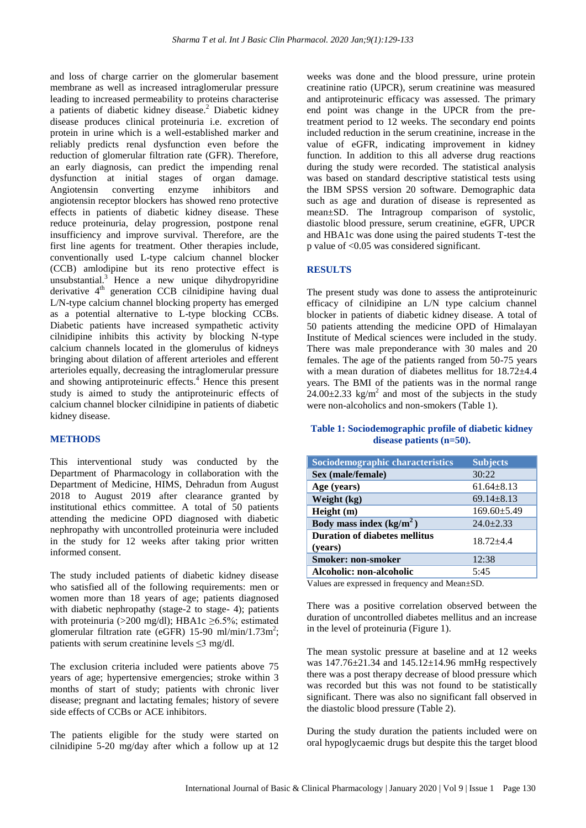and loss of charge carrier on the glomerular basement membrane as well as increased intraglomerular pressure leading to increased permeability to proteins characterise a patients of diabetic kidney disease.<sup>2</sup> Diabetic kidney disease produces clinical proteinuria i.e. excretion of protein in urine which is a well-established marker and reliably predicts renal dysfunction even before the reduction of glomerular filtration rate (GFR). Therefore, an early diagnosis, can predict the impending renal dysfunction at initial stages of organ damage. Angiotensin converting enzyme inhibitors and angiotensin receptor blockers has showed reno protective effects in patients of diabetic kidney disease. These reduce proteinuria, delay progression, postpone renal insufficiency and improve survival. Therefore, are the first line agents for treatment. Other therapies include, conventionally used L-type calcium channel blocker (CCB) amlodipine but its reno protective effect is unsubstantial. $3$  Hence a new unique dihydropyridine derivative 4<sup>th</sup> generation CCB cilnidipine having dual L/N-type calcium channel blocking property has emerged as a potential alternative to L-type blocking CCBs. Diabetic patients have increased sympathetic activity cilnidipine inhibits this activity by blocking N-type calcium channels located in the glomerulus of kidneys bringing about dilation of afferent arterioles and efferent arterioles equally, decreasing the intraglomerular pressure and showing antiproteinuric effects.<sup>4</sup> Hence this present study is aimed to study the antiproteinuric effects of calcium channel blocker cilnidipine in patients of diabetic kidney disease.

## **METHODS**

This interventional study was conducted by the Department of Pharmacology in collaboration with the Department of Medicine, HIMS, Dehradun from August 2018 to August 2019 after clearance granted by institutional ethics committee. A total of 50 patients attending the medicine OPD diagnosed with diabetic nephropathy with uncontrolled proteinuria were included in the study for 12 weeks after taking prior written informed consent.

The study included patients of diabetic kidney disease who satisfied all of the following requirements: men or women more than 18 years of age; patients diagnosed with diabetic nephropathy (stage-2 to stage- 4); patients with proteinuria (>200 mg/dl); HBA1c  $\geq 6.5\%$ ; estimated glomerular filtration rate (eGFR) 15-90 ml/min/1.73m<sup>2</sup>; patients with serum creatinine levels ≤3 mg/dl.

The exclusion criteria included were patients above 75 years of age; hypertensive emergencies; stroke within 3 months of start of study; patients with chronic liver disease; pregnant and lactating females; history of severe side effects of CCBs or ACE inhibitors.

The patients eligible for the study were started on cilnidipine 5-20 mg/day after which a follow up at 12

weeks was done and the blood pressure, urine protein creatinine ratio (UPCR), serum creatinine was measured and antiproteinuric efficacy was assessed. The primary end point was change in the UPCR from the pretreatment period to 12 weeks. The secondary end points included reduction in the serum creatinine, increase in the value of eGFR, indicating improvement in kidney function. In addition to this all adverse drug reactions during the study were recorded. The statistical analysis was based on standard descriptive statistical tests using the IBM SPSS version 20 software. Demographic data such as age and duration of disease is represented as mean±SD. The Intragroup comparison of systolic, diastolic blood pressure, serum creatinine, eGFR, UPCR and HBA1c was done using the paired students T-test the p value of <0.05 was considered significant.

#### **RESULTS**

The present study was done to assess the antiproteinuric efficacy of cilnidipine an L/N type calcium channel blocker in patients of diabetic kidney disease. A total of 50 patients attending the medicine OPD of Himalayan Institute of Medical sciences were included in the study. There was male preponderance with 30 males and 20 females. The age of the patients ranged from 50-75 years with a mean duration of diabetes mellitus for  $18.72 \pm 4.4$ years. The BMI of the patients was in the normal range  $24.00\pm2.33$  kg/m<sup>2</sup> and most of the subjects in the study were non-alcoholics and non-smokers (Table 1).

## **Table 1: Sociodemographic profile of diabetic kidney disease patients (n=50).**

| <b>Sociodemographic characteristics</b>         | <b>Subjects</b>   |
|-------------------------------------------------|-------------------|
| Sex (male/female)                               | 30:22             |
| Age (years)                                     | $61.64 + 8.13$    |
| Weight (kg)                                     | $69.14 + 8.13$    |
| Height (m)                                      | $169.60 \pm 5.49$ |
| Body mass index $(kg/m2)$                       | $24.0+2.33$       |
| <b>Duration of diabetes mellitus</b><br>(years) | $18.72 + 4.4$     |
| <b>Smoker: non-smoker</b>                       | 12:38             |
| Alcoholic: non-alcoholic                        | 5:45              |

Values are expressed in frequency and Mean±SD.

There was a positive correlation observed between the duration of uncontrolled diabetes mellitus and an increase in the level of proteinuria (Figure 1).

The mean systolic pressure at baseline and at 12 weeks was  $147.76 \pm 21.34$  and  $145.12 \pm 14.96$  mmHg respectively there was a post therapy decrease of blood pressure which was recorded but this was not found to be statistically significant. There was also no significant fall observed in the diastolic blood pressure (Table 2).

During the study duration the patients included were on oral hypoglycaemic drugs but despite this the target blood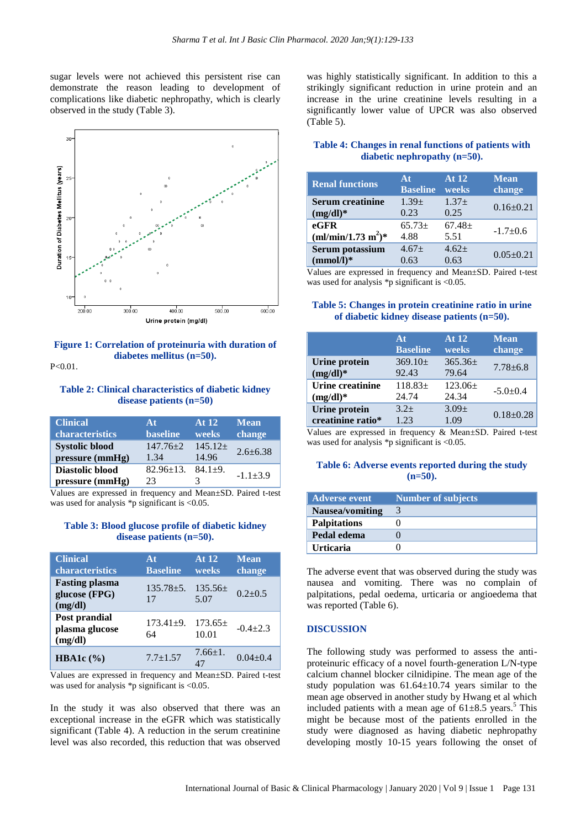sugar levels were not achieved this persistent rise can demonstrate the reason leading to development of complications like diabetic nephropathy, which is clearly observed in the study (Table 3).



**Figure 1: Correlation of proteinuria with duration of diabetes mellitus (n=50).** P<0.01.

#### **Table 2: Clinical characteristics of diabetic kidney disease patients (n=50)**

| <b>Clinical</b>        | At              | At 12     | <b>Mean</b>    |
|------------------------|-----------------|-----------|----------------|
| characteristics        | <b>baseline</b> | weeks     | change         |
| <b>Systolic blood</b>  | $147.76 \pm 2$  | $145.12+$ | $2.6 + 6.38$   |
| pressure (mmHg)        | 1.34            | 14.96     |                |
| <b>Diastolic blood</b> | $82.96 \pm 13.$ | $84.1+9.$ | $-1.1 \pm 3.9$ |
| pressure (mmHg)        | 23              | 3         |                |

Values are expressed in frequency and Mean±SD. Paired t-test was used for analysis \*p significant is <0.05.

#### **Table 3: Blood glucose profile of diabetic kidney disease patients (n=50).**

| <b>Clinical</b><br>characteristics                | At<br><b>Baseline</b> | At 12<br>weeks       | <b>Mean</b><br>change |
|---------------------------------------------------|-----------------------|----------------------|-----------------------|
| <b>Fasting plasma</b><br>glucose (FPG)<br>(mg/dl) | $135.78 \pm 5.$<br>17 | $135.56\pm$<br>5.07  | $0.2 + 0.5$           |
| Post prandial<br>plasma glucose<br>(mg/dl)        | $173.41 \pm 9.$<br>64 | $173.65\pm$<br>10.01 | $-0.4+2.3$            |
| HBA1c $(\%)$                                      | $7.7 \pm 1.57$        | $7.66 \pm 1.$<br>47  | $0.04 + 0.4$          |

Values are expressed in frequency and Mean±SD. Paired t-test was used for analysis \*p significant is <0.05.

In the study it was also observed that there was an exceptional increase in the eGFR which was statistically significant (Table 4). A reduction in the serum creatinine level was also recorded, this reduction that was observed

was highly statistically significant. In addition to this a strikingly significant reduction in urine protein and an increase in the urine creatinine levels resulting in a significantly lower value of UPCR was also observed (Table 5).

## **Table 4: Changes in renal functions of patients with diabetic nephropathy (n=50).**

| <b>Renal functions</b>  | At              | At 12       | <b>Mean</b>     |
|-------------------------|-----------------|-------------|-----------------|
|                         | <b>Baseline</b> | weeks       | change          |
| <b>Serum creatinine</b> | $1.39 +$        | $1.37+$     | $0.16 \pm 0.21$ |
| $(mg/dl)^*$             | 0.23            | 0.25        |                 |
| $e$ GFR                 | $65.73+$        | $67.48 \pm$ | $-1.7+0.6$      |
| $(ml/min/1.73 m2)*$     | 4.88            | 5.51        |                 |
| Serum potassium         | $4.67+$         | $4.62+$     | $0.05 \pm 0.21$ |
| $(mmol/l)*$             | 0.63            | 0.63        |                 |

Values are expressed in frequency and Mean±SD. Paired t-test was used for analysis \*p significant is <0.05.

#### **Table 5: Changes in protein creatinine ratio in urine of diabetic kidney disease patients (n=50).**

|                      | At              | At 12       | <b>Mean</b>     |
|----------------------|-----------------|-------------|-----------------|
|                      | <b>Baseline</b> | weeks       | change          |
| <b>Urine protein</b> | $369.10 \pm$    | $365.36\pm$ | $7.78 + 6.8$    |
| $(mg/dl)^*$          | 92.43           | 79.64       |                 |
| Urine creatinine     | $118.83+$       | $123.06+$   | $-5.0+0.4$      |
| $(mg/dl)^*$          | 24.74           | 24.34       |                 |
| <b>Urine protein</b> | $3.2+$          | $3.09 +$    | $0.18 \pm 0.28$ |
| creatinine ratio*    | 1.23            | 1.09        |                 |

Values are expressed in frequency & Mean±SD. Paired t-test was used for analysis \*p significant is <0.05.

#### **Table 6: Adverse events reported during the study (n=50).**

| <b>Adverse event</b> | <b>Number of subjects</b> |
|----------------------|---------------------------|
| Nausea/vomiting      |                           |
| <b>Palpitations</b>  |                           |
| Pedal edema          |                           |
| <b>Urticaria</b>     |                           |

The adverse event that was observed during the study was nausea and vomiting. There was no complain of palpitations, pedal oedema, urticaria or angioedema that was reported (Table 6).

#### **DISCUSSION**

The following study was performed to assess the antiproteinuric efficacy of a novel fourth-generation L/N-type calcium channel blocker cilnidipine. The mean age of the study population was  $61.64 \pm 10.74$  years similar to the mean age observed in another study by Hwang et al which included patients with a mean age of  $61\pm8.5$  years.<sup>5</sup> This might be because most of the patients enrolled in the study were diagnosed as having diabetic nephropathy developing mostly 10-15 years following the onset of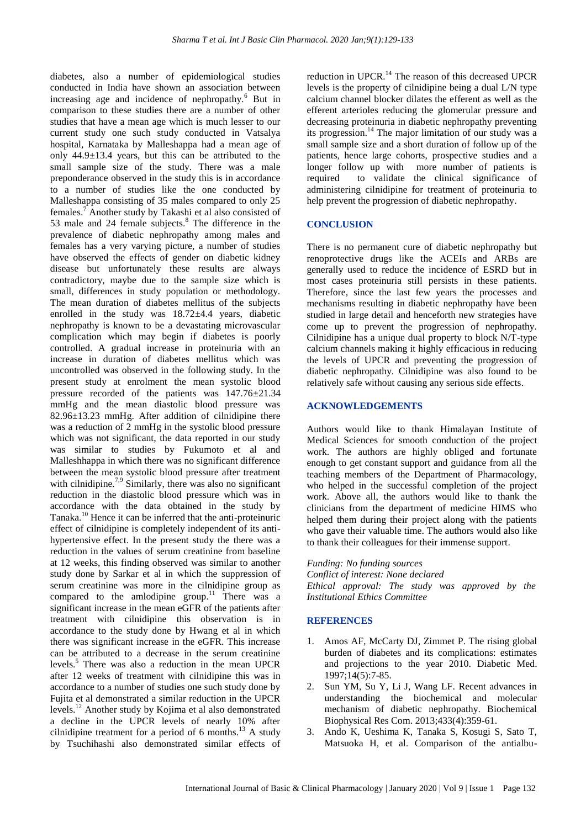diabetes, also a number of epidemiological studies conducted in India have shown an association between increasing age and incidence of nephropathy.<sup>6</sup> But in comparison to these studies there are a number of other studies that have a mean age which is much lesser to our current study one such study conducted in Vatsalya hospital, Karnataka by Malleshappa had a mean age of only  $44.9 \pm 13.4$  years, but this can be attributed to the small sample size of the study. There was a male preponderance observed in the study this is in accordance to a number of studies like the one conducted by Malleshappa consisting of 35 males compared to only 25 females.<sup>7</sup> Another study by Takashi et al also consisted of 53 male and 24 female subjects. <sup>8</sup> The difference in the prevalence of diabetic nephropathy among males and females has a very varying picture, a number of studies have observed the effects of gender on diabetic kidney disease but unfortunately these results are always contradictory, maybe due to the sample size which is small, differences in study population or methodology. The mean duration of diabetes mellitus of the subjects enrolled in the study was 18.72±4.4 years, diabetic nephropathy is known to be a devastating microvascular complication which may begin if diabetes is poorly controlled. A gradual increase in proteinuria with an increase in duration of diabetes mellitus which was uncontrolled was observed in the following study. In the present study at enrolment the mean systolic blood pressure recorded of the patients was 147.76±21.34 mmHg and the mean diastolic blood pressure was 82.96±13.23 mmHg. After addition of cilnidipine there was a reduction of 2 mmHg in the systolic blood pressure which was not significant, the data reported in our study was similar to studies by Fukumoto et al and Malleshhappa in which there was no significant difference between the mean systolic blood pressure after treatment with cilnidipine.<sup>7,9</sup> Similarly, there was also no significant reduction in the diastolic blood pressure which was in accordance with the data obtained in the study by Tanaka.<sup>10</sup> Hence it can be inferred that the anti-proteinuric effect of cilnidipine is completely independent of its antihypertensive effect. In the present study the there was a reduction in the values of serum creatinine from baseline at 12 weeks, this finding observed was similar to another study done by Sarkar et al in which the suppression of serum creatinine was more in the cilnidipine group as compared to the amlodipine group.<sup>11</sup> There was a significant increase in the mean eGFR of the patients after treatment with cilnidipine this observation is in accordance to the study done by Hwang et al in which there was significant increase in the eGFR. This increase can be attributed to a decrease in the serum creatinine levels.<sup>5</sup> There was also a reduction in the mean UPCR after 12 weeks of treatment with cilnidipine this was in accordance to a number of studies one such study done by Fujita et al demonstrated a similar reduction in the UPCR levels.<sup>12</sup> Another study by Kojima et al also demonstrated a decline in the UPCR levels of nearly 10% after cilnidipine treatment for a period of 6 months.<sup>13</sup> A study by Tsuchihashi also demonstrated similar effects of

reduction in UPCR.<sup>14</sup> The reason of this decreased UPCR levels is the property of cilnidipine being a dual L/N type calcium channel blocker dilates the efferent as well as the efferent arterioles reducing the glomerular pressure and decreasing proteinuria in diabetic nephropathy preventing its progression.<sup>14</sup> The major limitation of our study was a small sample size and a short duration of follow up of the patients, hence large cohorts, prospective studies and a longer follow up with more number of patients is required to validate the clinical significance of administering cilnidipine for treatment of proteinuria to help prevent the progression of diabetic nephropathy.

#### **CONCLUSION**

There is no permanent cure of diabetic nephropathy but renoprotective drugs like the ACEIs and ARBs are generally used to reduce the incidence of ESRD but in most cases proteinuria still persists in these patients. Therefore, since the last few years the processes and mechanisms resulting in diabetic nephropathy have been studied in large detail and henceforth new strategies have come up to prevent the progression of nephropathy. Cilnidipine has a unique dual property to block N/T-type calcium channels making it highly efficacious in reducing the levels of UPCR and preventing the progression of diabetic nephropathy. Cilnidipine was also found to be relatively safe without causing any serious side effects.

#### **ACKNOWLEDGEMENTS**

Authors would like to thank Himalayan Institute of Medical Sciences for smooth conduction of the project work. The authors are highly obliged and fortunate enough to get constant support and guidance from all the teaching members of the Department of Pharmacology, who helped in the successful completion of the project work. Above all, the authors would like to thank the clinicians from the department of medicine HIMS who helped them during their project along with the patients who gave their valuable time. The authors would also like to thank their colleagues for their immense support.

*Funding: No funding sources Conflict of interest: None declared Ethical approval: The study was approved by the Institutional Ethics Committee*

#### **REFERENCES**

- 1. Amos AF, McCarty DJ, Zimmet P. The rising global burden of diabetes and its complications: estimates and projections to the year 2010. Diabetic Med. 1997;14(5):7-85.
- 2. Sun YM, Su Y, Li J, Wang LF. Recent advances in understanding the biochemical and molecular mechanism of diabetic nephropathy. Biochemical Biophysical Res Com. 2013;433(4):359-61.
- 3. Ando K, Ueshima K, Tanaka S, Kosugi S, Sato T, Matsuoka H, et al. Comparison of the antialbu-